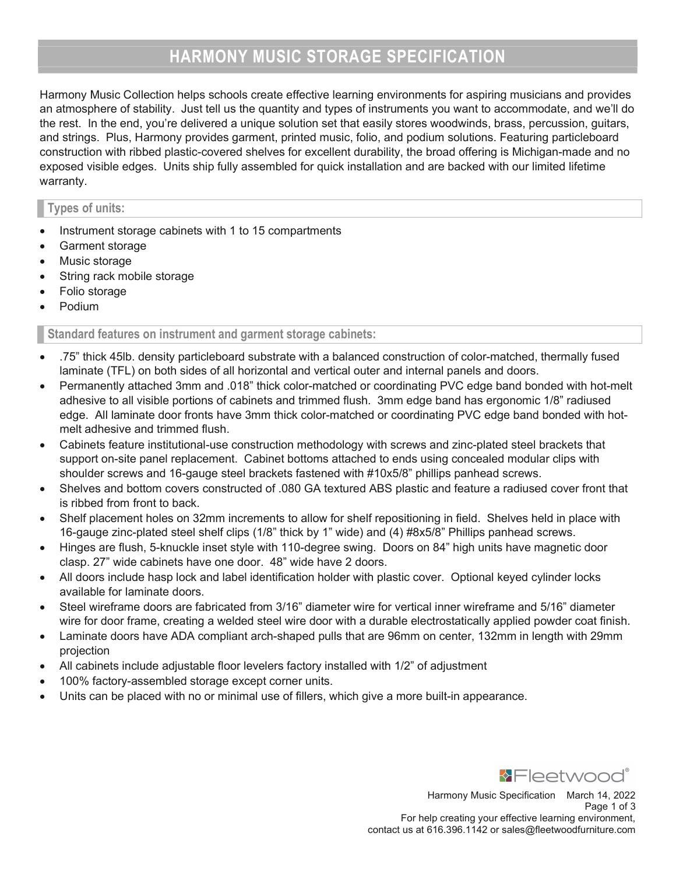# HARMONY MUSIC STORAGE SPECIFICATION

Harmony Music Collection helps schools create effective learning environments for aspiring musicians and provides an atmosphere of stability. Just tell us the quantity and types of instruments you want to accommodate, and we'll do the rest. In the end, you're delivered a unique solution set that easily stores woodwinds, brass, percussion, guitars, and strings. Plus, Harmony provides garment, printed music, folio, and podium solutions. Featuring particleboard construction with ribbed plastic-covered shelves for excellent durability, the broad offering is Michigan-made and no exposed visible edges. Units ship fully assembled for quick installation and are backed with our limited lifetime warranty.

## Types of units:

- Instrument storage cabinets with 1 to 15 compartments
- Garment storage
- Music storage
- String rack mobile storage
- Folio storage
- Podium

Standard features on instrument and garment storage cabinets:

- .75" thick 45lb. density particleboard substrate with a balanced construction of color-matched, thermally fused laminate (TFL) on both sides of all horizontal and vertical outer and internal panels and doors.
- Permanently attached 3mm and .018" thick color-matched or coordinating PVC edge band bonded with hot-melt adhesive to all visible portions of cabinets and trimmed flush. 3mm edge band has ergonomic 1/8" radiused edge. All laminate door fronts have 3mm thick color-matched or coordinating PVC edge band bonded with hotmelt adhesive and trimmed flush.
- Cabinets feature institutional-use construction methodology with screws and zinc-plated steel brackets that support on-site panel replacement. Cabinet bottoms attached to ends using concealed modular clips with shoulder screws and 16-gauge steel brackets fastened with #10x5/8" phillips panhead screws.
- Shelves and bottom covers constructed of .080 GA textured ABS plastic and feature a radiused cover front that is ribbed from front to back.
- Shelf placement holes on 32mm increments to allow for shelf repositioning in field. Shelves held in place with 16-gauge zinc-plated steel shelf clips (1/8" thick by 1" wide) and (4) #8x5/8" Phillips panhead screws.
- Hinges are flush, 5-knuckle inset style with 110-degree swing. Doors on 84" high units have magnetic door clasp. 27" wide cabinets have one door. 48" wide have 2 doors.
- All doors include hasp lock and label identification holder with plastic cover. Optional keyed cylinder locks available for laminate doors.
- Steel wireframe doors are fabricated from 3/16" diameter wire for vertical inner wireframe and 5/16" diameter wire for door frame, creating a welded steel wire door with a durable electrostatically applied powder coat finish.
- Laminate doors have ADA compliant arch-shaped pulls that are 96mm on center, 132mm in length with 29mm projection
- All cabinets include adjustable floor levelers factory installed with 1/2" of adjustment
- 100% factory-assembled storage except corner units.
- Units can be placed with no or minimal use of fillers, which give a more built-in appearance.

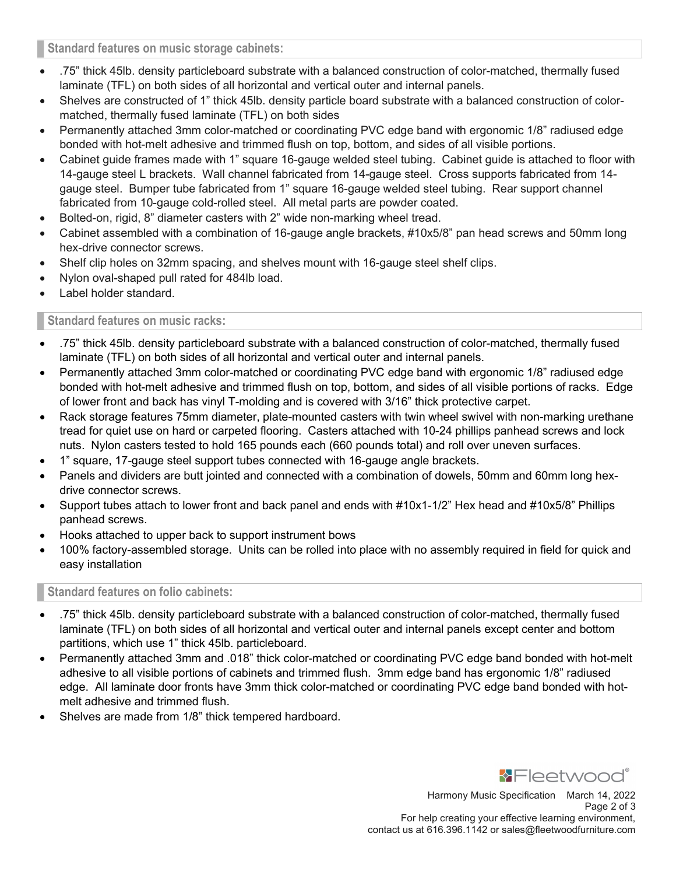Standard features on music storage cabinets:

- .75" thick 45lb. density particleboard substrate with a balanced construction of color-matched, thermally fused laminate (TFL) on both sides of all horizontal and vertical outer and internal panels.
- Shelves are constructed of 1" thick 45lb. density particle board substrate with a balanced construction of colormatched, thermally fused laminate (TFL) on both sides
- Permanently attached 3mm color-matched or coordinating PVC edge band with ergonomic 1/8" radiused edge bonded with hot-melt adhesive and trimmed flush on top, bottom, and sides of all visible portions.
- Cabinet guide frames made with 1" square 16-gauge welded steel tubing. Cabinet guide is attached to floor with 14-gauge steel L brackets. Wall channel fabricated from 14-gauge steel. Cross supports fabricated from 14 gauge steel. Bumper tube fabricated from 1" square 16-gauge welded steel tubing. Rear support channel fabricated from 10-gauge cold-rolled steel. All metal parts are powder coated.
- Bolted-on, rigid, 8" diameter casters with 2" wide non-marking wheel tread.
- Cabinet assembled with a combination of 16-gauge angle brackets, #10x5/8" pan head screws and 50mm long hex-drive connector screws.
- Shelf clip holes on 32mm spacing, and shelves mount with 16-gauge steel shelf clips.
- Nylon oval-shaped pull rated for 484lb load.
- Label holder standard.

## Standard features on music racks:

- .75" thick 45lb. density particleboard substrate with a balanced construction of color-matched, thermally fused laminate (TFL) on both sides of all horizontal and vertical outer and internal panels.
- Permanently attached 3mm color-matched or coordinating PVC edge band with ergonomic 1/8" radiused edge bonded with hot-melt adhesive and trimmed flush on top, bottom, and sides of all visible portions of racks. Edge of lower front and back has vinyl T-molding and is covered with 3/16" thick protective carpet.
- Rack storage features 75mm diameter, plate-mounted casters with twin wheel swivel with non-marking urethane tread for quiet use on hard or carpeted flooring. Casters attached with 10-24 phillips panhead screws and lock nuts. Nylon casters tested to hold 165 pounds each (660 pounds total) and roll over uneven surfaces.
- 1" square, 17-gauge steel support tubes connected with 16-gauge angle brackets.
- Panels and dividers are butt jointed and connected with a combination of dowels, 50mm and 60mm long hexdrive connector screws.
- Support tubes attach to lower front and back panel and ends with #10x1-1/2" Hex head and #10x5/8" Phillips panhead screws.
- Hooks attached to upper back to support instrument bows
- 100% factory-assembled storage. Units can be rolled into place with no assembly required in field for quick and easy installation

## Standard features on folio cabinets:

- .75" thick 45lb. density particleboard substrate with a balanced construction of color-matched, thermally fused laminate (TFL) on both sides of all horizontal and vertical outer and internal panels except center and bottom partitions, which use 1" thick 45lb. particleboard.
- Permanently attached 3mm and .018" thick color-matched or coordinating PVC edge band bonded with hot-melt adhesive to all visible portions of cabinets and trimmed flush. 3mm edge band has ergonomic 1/8" radiused edge. All laminate door fronts have 3mm thick color-matched or coordinating PVC edge band bonded with hotmelt adhesive and trimmed flush.
- Shelves are made from 1/8" thick tempered hardboard.

**\*Fleetwood**